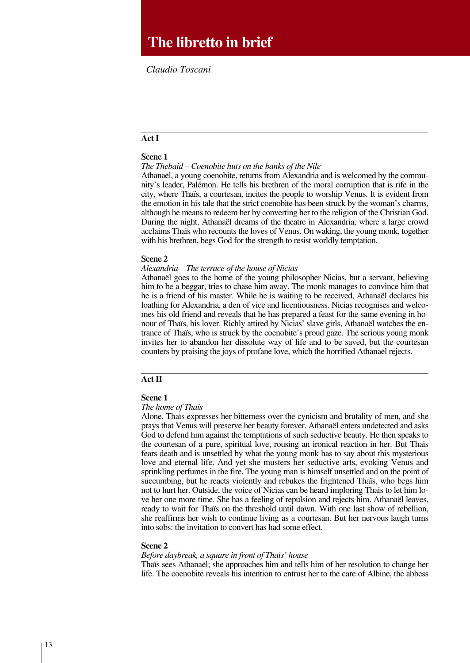# **The libretto in brief**

*Claudio Toscani*

# **Act I**

#### **Scene 1**

*The Thebaid – Coenobite huts on the banks of the Nile*

Athanaël, a young coenobite, returns from Alexandria and is welcomed by the community's leader, palémon. he tells his brethren of the moral corruption that is rife in the city, where thaïs, a courtesan, incites the people to worship Venus. it is evident from the emotion in his tale that the strict coenobite has been struck by the woman's charms, although he means to redeem her by converting her to the religion of the christian God. During the night, Athanaël dreams of the theatre in Alexandria, where a large crowd acclaims Thaïs who recounts the loves of Venus. On waking, the young monk, together with his brethren, begs God for the strength to resist worldly temptation.

#### **Scene 2**

#### *Alexandria – The terrace of the house of Nicias*

Athanaël goes to the home of the young philosopher nicias, but a servant, believing him to be a beggar, tries to chase him away. The monk manages to convince him that he is a friend of his master. While he is waiting to be received, Athanaël declares his loathing for Alexandria, a den of vice and licentiousness. nicias recognises and welcomes his old friend and reveals that he has prepared a feast for the same evening in honour of Thaïs, his lover. Richly attired by Nicias' slave girls, Athanaël watches the entrance of thaïs, who is struck by the coenobite's proud gaze. the serious young monk invites her to abandon her dissolute way of life and to be saved, but the courtesan counters by praising the joys of profane love, which the horrified Athanaël rejects.

## **Act II**

#### **Scene 1**

#### *The home of Thaïs*

Alone, thaïs expresses her bitterness over the cynicism and brutality of men, and she prays that Venus will preserve her beauty forever. Athanaël enters undetected and asks God to defend him against the temptations of such seductive beauty. he then speaks to the courtesan of a pure, spiritual love, rousing an ironical reaction in her. But Thaïs fears death and is unsettled by what the young monk has to say about this mysterious love and eternal life. And yet she musters her seductive arts, evoking Venus and sprinkling perfumes in the fire. The young man is himself unsettled and on the point of succumbing, but he reacts violently and rebukes the frightened Thaïs, who begs him not to hurt her. Outside, the voice of Nicias can be heard imploring Thaïs to let him love her one more time. she has a feeling of repulsion and rejects him. Athanaël leaves, ready to wait for Thaïs on the threshold until dawn. With one last show of rebellion, she reaffirms her wish to continue living as a courtesan. But her nervous laugh turns into sobs: the invitation to convert has had some effect.

## **Scene 2**

#### *Before daybreak, a square in front of Thaïs' house*

thaïs sees Athanaël; she approaches him and tells him of her resolution to change her life. the coenobite reveals his intention to entrust her to the care of Albine, the abbess